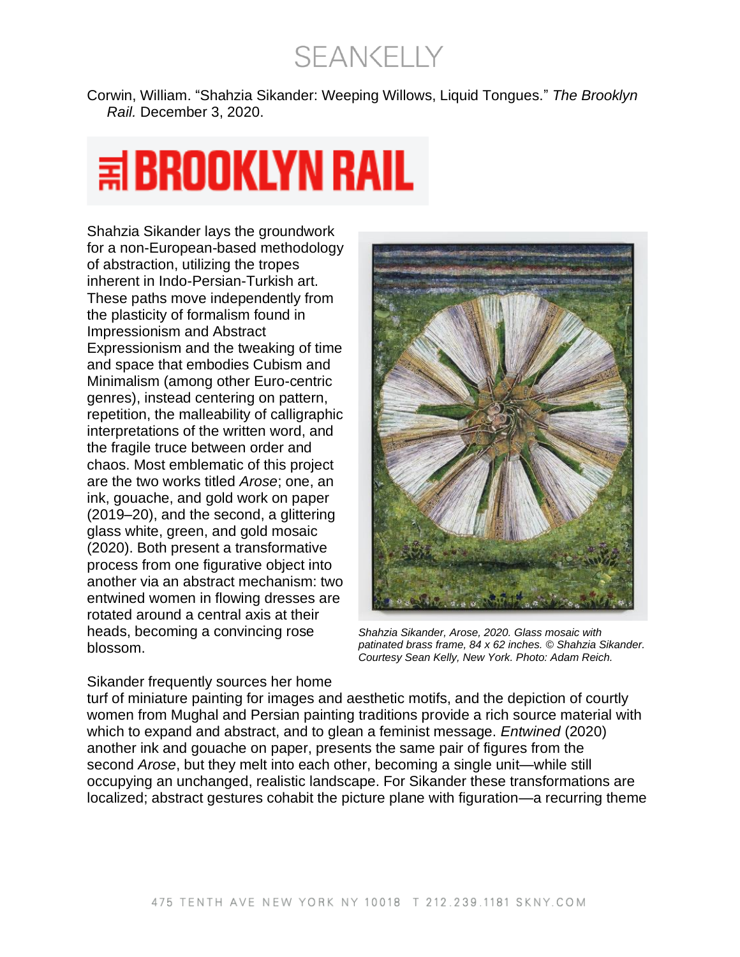**SEANKELLY** 

Corwin, William. "Shahzia Sikander: Weeping Willows, Liquid Tongues." *The Brooklyn Rail.* December 3, 2020.

## $\equiv$  BROOKLYN RAIL

Shahzia Sikander lays the groundwork for a non-European-based methodology of abstraction, utilizing the tropes inherent in Indo-Persian-Turkish art. These paths move independently from the plasticity of formalism found in Impressionism and Abstract Expressionism and the tweaking of time and space that embodies Cubism and Minimalism (among other Euro-centric genres), instead centering on pattern, repetition, the malleability of calligraphic interpretations of the written word, and the fragile truce between order and chaos. Most emblematic of this project are the two works titled *Arose*; one, an ink, gouache, and gold work on paper (2019–20), and the second, a glittering glass white, green, and gold mosaic (2020). Both present a transformative process from one figurative object into another via an abstract mechanism: two entwined women in flowing dresses are rotated around a central axis at their heads, becoming a convincing rose blossom.



*Shahzia Sikander, Arose, 2020. Glass mosaic with patinated brass frame, 84 x 62 inches. © Shahzia Sikander. Courtesy Sean Kelly, New York. Photo: Adam Reich.*

Sikander frequently sources her home turf of miniature painting for images and aesthetic motifs, and the depiction of courtly women from Mughal and Persian painting traditions provide a rich source material with which to expand and abstract, and to glean a feminist message. *Entwined* (2020) another ink and gouache on paper, presents the same pair of figures from the second *Arose*, but they melt into each other, becoming a single unit—while still occupying an unchanged, realistic landscape. For Sikander these transformations are localized; abstract gestures cohabit the picture plane with figuration—a recurring theme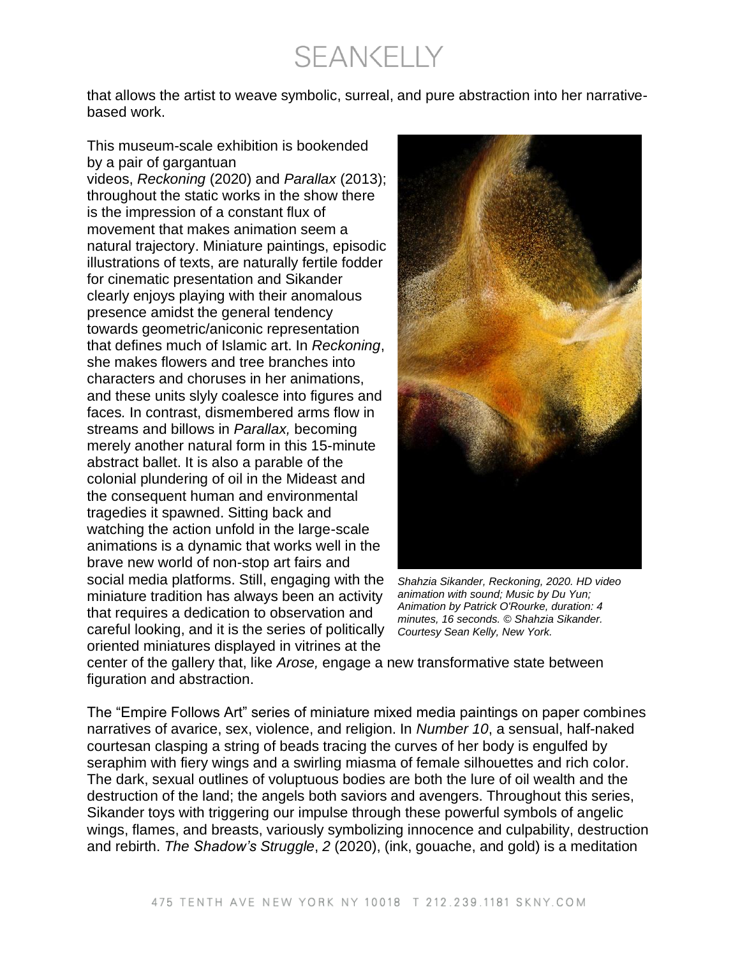**SEANKELLY** 

that allows the artist to weave symbolic, surreal, and pure abstraction into her narrativebased work.

This museum-scale exhibition is bookended by a pair of gargantuan videos, *Reckoning* (2020) and *Parallax* (2013); throughout the static works in the show there is the impression of a constant flux of movement that makes animation seem a natural trajectory. Miniature paintings, episodic illustrations of texts, are naturally fertile fodder for cinematic presentation and Sikander clearly enjoys playing with their anomalous presence amidst the general tendency towards geometric/aniconic representation that defines much of Islamic art. In *Reckoning*, she makes flowers and tree branches into characters and choruses in her animations, and these units slyly coalesce into figures and faces*.* In contrast, dismembered arms flow in streams and billows in *Parallax,* becoming merely another natural form in this 15-minute abstract ballet. It is also a parable of the colonial plundering of oil in the Mideast and the consequent human and environmental tragedies it spawned. Sitting back and watching the action unfold in the large-scale animations is a dynamic that works well in the brave new world of non-stop art fairs and social media platforms. Still, engaging with the miniature tradition has always been an activity that requires a dedication to observation and careful looking, and it is the series of politically oriented miniatures displayed in vitrines at the



*Shahzia Sikander, Reckoning, 2020. HD video animation with sound; Music by Du Yun; Animation by Patrick O'Rourke, duration: 4 minutes, 16 seconds. © Shahzia Sikander. Courtesy Sean Kelly, New York.*

center of the gallery that, like *Arose,* engage a new transformative state between figuration and abstraction.

The "Empire Follows Art" series of miniature mixed media paintings on paper combines narratives of avarice, sex, violence, and religion. In *Number 10*, a sensual, half-naked courtesan clasping a string of beads tracing the curves of her body is engulfed by seraphim with fiery wings and a swirling miasma of female silhouettes and rich color. The dark, sexual outlines of voluptuous bodies are both the lure of oil wealth and the destruction of the land; the angels both saviors and avengers. Throughout this series, Sikander toys with triggering our impulse through these powerful symbols of angelic wings, flames, and breasts, variously symbolizing innocence and culpability, destruction and rebirth. *The Shadow's Struggle*, *2* (2020), (ink, gouache, and gold) is a meditation